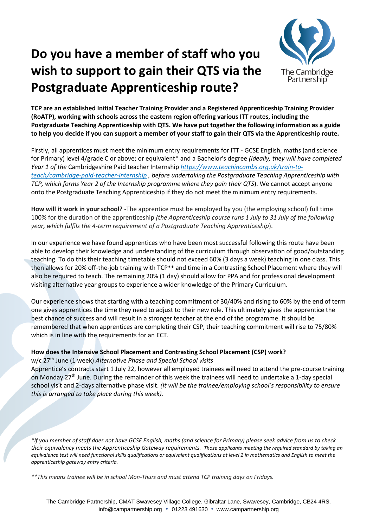## **Do you have a member of staff who you wish to support to gain their QTS via the Postgraduate Apprenticeship route?**



**TCP are an established Initial Teacher Training Provider and a Registered Apprenticeship Training Provider (RoATP), working with schools across the eastern region offering various ITT routes, including the Postgraduate Teaching Apprenticeship with QTS. We have put together the following information as a guide to help you decide if you can support a member of your staff to gain their QTS via the Apprenticeship route.** 

Firstly, all apprentices must meet the minimum entry requirements for ITT - GCSE English, maths (and science for Primary) level 4/grade C or above; or equivalent\* and a Bachelor's degree *(ideally, they will have completed Year 1 of the* Cambridgeshire Paid teacher Internship *[https://www.teachincambs.org.uk/train-to](https://www.teachincambs.org.uk/train-to-teach/cambridge-paid-teacher-internship)[teach/cambridge-paid-teacher-internship](https://www.teachincambs.org.uk/train-to-teach/cambridge-paid-teacher-internship) , before undertaking the Postgraduate Teaching Apprenticeship with TCP, which forms Year 2 of the Internship programme where they gain their QTS*). We cannot accept anyone onto the Postgraduate Teaching Apprenticeship if they do not meet the minimum entry requirements.

**How will it work in your school?** -The apprentice must be employed by you (the employing school) full time 100% for the duration of the apprenticeship *(the Apprenticeship course runs 1 July to 31 July of the following year, which fulfils the 4-term requirement of a Postgraduate Teaching Apprenticeship*).

In our experience we have found apprentices who have been most successful following this route have been able to develop their knowledge and understanding of the curriculum through observation of good/outstanding teaching. To do this their teaching timetable should not exceed 60% (3 days a week) teaching in one class. This then allows for 20% off-the-job training with TCP\*\* and time in a Contrasting School Placement where they will also be required to teach. The remaining 20% (1 day) should allow for PPA and for professional development visiting alternative year groups to experience a wider knowledge of the Primary Curriculum.

Our experience shows that starting with a teaching commitment of 30/40% and rising to 60% by the end of term one gives apprentices the time they need to adjust to their new role. This ultimately gives the apprentice the best chance of success and will result in a stronger teacher at the end of the programme. It should be remembered that when apprentices are completing their CSP, their teaching commitment will rise to 75/80% which is in line with the requirements for an ECT.

## **How does the Intensive School Placement and Contrasting School Placement (CSP) work?**

w/c 27th June (1 week) *Alternative Phase and Special School visits*

Apprentice's contracts start 1 July 22, however all employed trainees will need to attend the pre-course training on Monday  $27<sup>th</sup>$  June. During the remainder of this week the trainees will need to undertake a 1-day special school visit and 2-days alternative phase visit. *(It will be the trainee/employing school's responsibility to ensure this is arranged to take place during this week).*

*\*If you member of staff does not have GCSE English, maths (and science for Primary) please seek advice from us to check their equivalency meets the Apprenticeship Gateway requirements. Those applicants meeting the required standard by taking an equivalence test will need functional skills qualifications or equivalent qualifications at level 2 in mathematics and English to meet the apprenticeship gateway entry criteria.*

*\*\*This means trainee will be in school Mon-Thurs and must attend TCP training days on Fridays.*